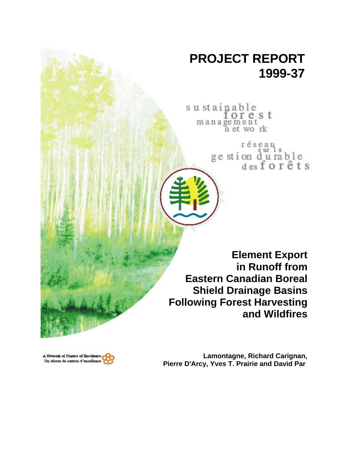# **PROJECT REPORT 1999-37**

su stainable management<br>management<br>n et wo rk

> réseau ge stion du rable<br>desforêts

**Element Export in Runoff from Eastern Canadian Boreal Shield Drainage Basins Following Forest Harvesting and Wildfires**



**Lamontagne, Richard Carignan, Pierre D'Arcy, Yves T. Prairie and David Par é**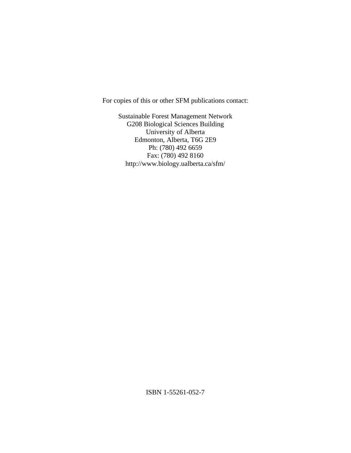For copies of this or other SFM publications contact:

Sustainable Forest Management Network G208 Biological Sciences Building University of Alberta Edmonton, Alberta, T6G 2E9 Ph: (780) 492 6659 Fax: (780) 492 8160 http://www.biology.ualberta.ca/sfm/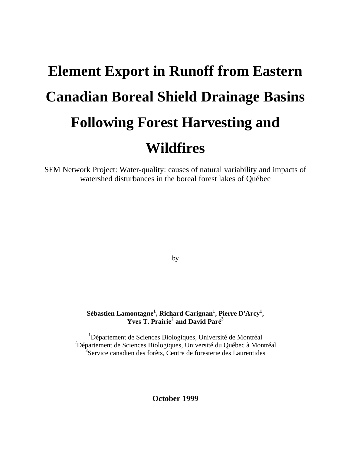# **Element Export in Runoff from Eastern Canadian Boreal Shield Drainage Basins Following Forest Harvesting and Wildfires**

SFM Network Project: Water-quality: causes of natural variability and impacts of watershed disturbances in the boreal forest lakes of Québec

by

# **Sébastien Lamontagne<sup>1</sup> , Richard Carignan<sup>1</sup> , Pierre D'Arcy<sup>1</sup> , Yves T. Prairie<sup>2</sup> and David Paré<sup>3</sup>**

<sup>1</sup>Département de Sciences Biologiques, Université de Montréal <sup>2</sup>Département de Sciences Biologiques, Université du Québec à Montréal <sup>3</sup>Service canadien des forêts, Centre de foresterie des Laurentides

**October 1999**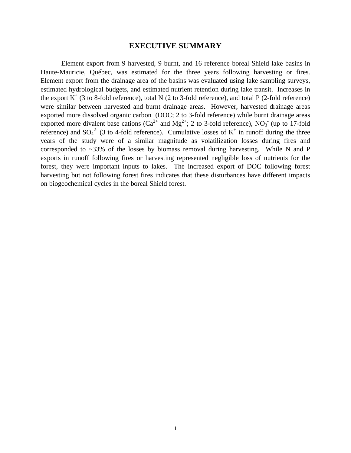# **EXECUTIVE SUMMARY**

Element export from 9 harvested, 9 burnt, and 16 reference boreal Shield lake basins in Haute-Mauricie, Québec, was estimated for the three years following harvesting or fires. Element export from the drainage area of the basins was evaluated using lake sampling surveys, estimated hydrological budgets, and estimated nutrient retention during lake transit. Increases in the export  $K^+$  (3 to 8-fold reference), total N (2 to 3-fold reference), and total P (2-fold reference) were similar between harvested and burnt drainage areas. However, harvested drainage areas exported more dissolved organic carbon (DOC; 2 to 3-fold reference) while burnt drainage areas exported more divalent base cations ( $Ca^{2+}$  and  $Mg^{2+}$ ; 2 to 3-fold reference), NO<sub>3</sub> (up to 17-fold reference) and  $SO_4^2$  (3 to 4-fold reference). Cumulative losses of K<sup>+</sup> in runoff during the three years of the study were of a similar magnitude as volatilization losses during fires and corresponded to  $\sim$ 33% of the losses by biomass removal during harvesting. While N and P exports in runoff following fires or harvesting represented negligible loss of nutrients for the forest, they were important inputs to lakes. The increased export of DOC following forest harvesting but not following forest fires indicates that these disturbances have different impacts on biogeochemical cycles in the boreal Shield forest.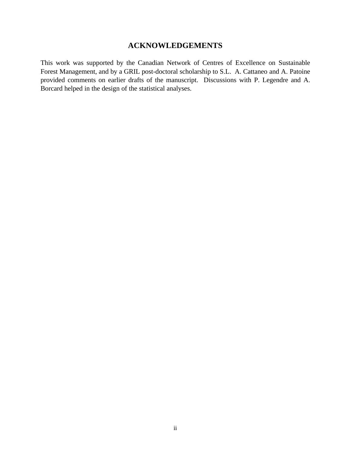# **ACKNOWLEDGEMENTS**

This work was supported by the Canadian Network of Centres of Excellence on Sustainable Forest Management, and by a GRIL post-doctoral scholarship to S.L. A. Cattaneo and A. Patoine provided comments on earlier drafts of the manuscript. Discussions with P. Legendre and A. Borcard helped in the design of the statistical analyses.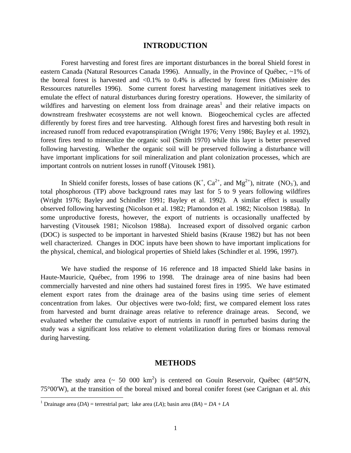# **INTRODUCTION**

Forest harvesting and forest fires are important disturbances in the boreal Shield forest in eastern Canada (Natural Resources Canada 1996). Annually, in the Province of Québec, ~1% of the boreal forest is harvested and  $\langle 0.1\%$  to 0.4% is affected by forest fires (Ministère des Ressources naturelles 1996). Some current forest harvesting management initiatives seek to emulate the effect of natural disturbances during forestry operations. However, the similarity of wildfires and harvesting on element loss from drainage areas<sup>1</sup> and their relative impacts on downstream freshwater ecosystems are not well known. Biogeochemical cycles are affected differently by forest fires and tree harvesting. Although forest fires and harvesting both result in increased runoff from reduced evapotranspiration (Wright 1976; Verry 1986; Bayley et al. 1992), forest fires tend to mineralize the organic soil (Smith 1970) while this layer is better preserved following harvesting. Whether the organic soil will be preserved following a disturbance will have important implications for soil mineralization and plant colonization processes, which are important controls on nutrient losses in runoff (Vitousek 1981).

In Shield conifer forests, losses of base cations  $(K^+, Ca^{2+}, and Mg^{2+})$ , nitrate  $(NO_3^-)$ , and total phosphorous (TP) above background rates may last for 5 to 9 years following wildfires (Wright 1976; Bayley and Schindler 1991; Bayley et al. 1992). A similar effect is usually observed following harvesting (Nicolson et al. 1982; Plamondon et al. 1982; Nicolson 1988a). In some unproductive forests, however, the export of nutrients is occasionally unaffected by harvesting (Vitousek 1981; Nicolson 1988a). Increased export of dissolved organic carbon (DOC) is suspected to be important in harvested Shield basins (Krause 1982) but has not been well characterized. Changes in DOC inputs have been shown to have important implications for the physical, chemical, and biological properties of Shield lakes (Schindler et al. 1996, 1997).

We have studied the response of 16 reference and 18 impacted Shield lake basins in Haute-Mauricie, Québec, from 1996 to 1998. The drainage area of nine basins had been commercially harvested and nine others had sustained forest fires in 1995. We have estimated element export rates from the drainage area of the basins using time series of element concentration from lakes. Our objectives were two-fold; first, we compared element loss rates from harvested and burnt drainage areas relative to reference drainage areas. Second, we evaluated whether the cumulative export of nutrients in runoff in perturbed basins during the study was a significant loss relative to element volatilization during fires or biomass removal during harvesting.

# **METHODS**

The study area ( $\sim 50$  000 km<sup>2</sup>) is centered on Gouin Reservoir, Québec (48°50'N, 75°00'W), at the transition of the boreal mixed and boreal conifer forest (see Carignan et al. *this*

 1 Drainage area (*DA*) = terrestrial part; lake area (*LA*); basin area (*BA*) = *DA* + *LA*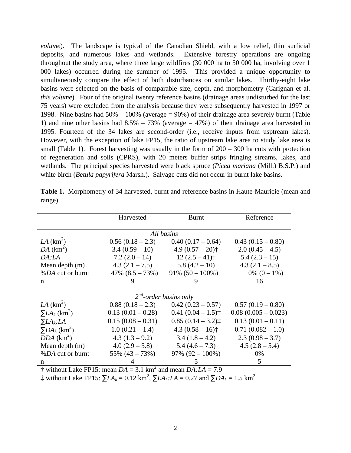*volume*). The landscape is typical of the Canadian Shield, with a low relief, thin surficial deposits, and numerous lakes and wetlands. Extensive forestry operations are ongoing throughout the study area, where three large wildfires (30 000 ha to 50 000 ha, involving over 1 000 lakes) occurred during the summer of 1995. This provided a unique opportunity to simultaneously compare the effect of both disturbances on similar lakes. Thirthy-eight lake basins were selected on the basis of comparable size, depth, and morphometry (Carignan et al. *this volume*). Four of the original twenty reference basins (drainage areas undisturbed for the last 75 years) were excluded from the analysis because they were subsequently harvested in 1997 or 1998. Nine basins had 50% – 100% (average = 90%) of their drainage area severely burnt (Table 1) and nine other basins had  $8.5\% - 73\%$  (average  $= 47\%$ ) of their drainage area harvested in 1995. Fourteen of the 34 lakes are second-order (i.e., receive inputs from usptream lakes). However, with the exception of lake FP15, the ratio of upstream lake area to study lake area is small (Table 1). Forest harvesting was usually in the form of 200 – 300 ha cuts with protection of regeneration and soils (CPRS), with 20 meters buffer strips fringing streams, lakes, and wetlands. The principal species harvested were black spruce (*Picea mariana* (Mill.) B.S.P.) and white birch (*Betula papyrifera* Marsh.). Salvage cuts did not occur in burnt lake basins.

|                                   | Harvested             |                                | Reference             |
|-----------------------------------|-----------------------|--------------------------------|-----------------------|
|                                   |                       |                                |                       |
|                                   | All basins            |                                |                       |
| $LA$ (km <sup>2</sup> )           | $0.56(0.18-2.3)$      | $0.40(0.17-0.64)$              | $0.43(0.15-0.80)$     |
| $DA$ (km <sup>2</sup> )           | $3.4(0.59-10)$        | 4.9 $(0.57 - 20)$ <sup>+</sup> | $2.0(0.45-4.5)$       |
| DA:LA                             | $7.2(2.0-14)$         | $12(2.5-41)$ †                 | $5.4(2.3-15)$         |
| Mean depth $(m)$                  | $4.3(2.1 - 7.5)$      | $5.8(4.2-10)$                  | $4.3(2.1 - 8.5)$      |
| %DA cut or burnt                  | $47\%$ $(8.5 - 73\%)$ | $91\% (50 - 100\%)$            | 0% $(0-1\%)$          |
| n                                 | 9                     | 9                              | 16                    |
|                                   |                       |                                |                       |
|                                   |                       | $2^{nd}$ -order basins only    |                       |
| $LA$ (km <sup>2</sup> )           | $0.88(0.18-2.3)$      | $0.42(0.23-0.57)$              | $0.57(0.19-0.80)$     |
| $\Sigma L A_k$ (km <sup>2</sup> ) | $0.13(0.01-0.28)$     | $0.41(0.04-1.5)$               | $0.08(0.005 - 0.023)$ |
| $\sum L A_k$ : LA                 | $0.15(0.08-0.31)$     | $0.85(0.14-3.2)$               | $0.13(0.01-0.11)$     |
| $\Sigma DA_k$ (km <sup>2</sup> )  | $1.0(0.21 - 1.4)$     | $4.3(0.58-16)$                 | $0.71(0.082 - 1.0)$   |
| $DDA$ ( $km^2$ )                  | $4.3(1.3-9.2)$        | $3.4(1.8-4.2)$                 | $2.3(0.98 - 3.7)$     |
| Mean depth $(m)$                  | $4.0(2.9-5.8)$        | $5.4(4.6-7.3)$                 | $4.5(2.8-5.4)$        |
| %DA cut or burnt                  | $55\% (43 - 73\%)$    | $97\%$ $(92 - 100\%)$          | 0%                    |
| n                                 |                       | C                              | 5                     |

**Table 1.** Morphometry of 34 harvested, burnt and reference basins in Haute-Mauricie (mean and range).

 $\dagger$  without Lake FP15: mean  $DA = 3.1 \text{ km}^2$  and mean  $DA:LA = 7.9$ 

 $\frac{1}{4}$  without Lake FP15:  $\sum L A_k = 0.12$  km<sup>2</sup>,  $\sum L A_k$ : *LA* = 0.27 and  $\sum D A_k = 1.5$  km<sup>2</sup>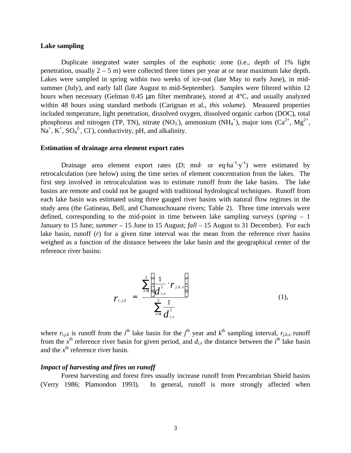## **Lake sampling**

Duplicate integrated water samples of the euphotic zone (i.e., depth of 1% light penetration, usually 2 – 5 m) were collected three times per year at or near maximum lake depth. Lakes were sampled in spring within two weeks of ice-out (late May to early June), in midsummer (July), and early fall (late August to mid-September). Samples were filtered within 12 hours when necessary (Gelman 0.45 μm filter membrane), stored at 4°C, and usually analyzed within 48 hours using standard methods (Carignan et al., *this volume*). Measured properties included temperature, light penetration, dissolved oxygen, dissolved organic carbon (DOC), total phosphorus and nitrogen (TP, TN), nitrate (NO<sub>3</sub><sup>-</sup>), ammonium (NH<sub>4</sub><sup>+</sup>), major ions (Ca<sup>2+</sup>, Mg<sup>2+</sup>,  $\text{Na}^+$ ,  $\text{K}^+$ ,  $\text{SO}_4^2$ <sup>2</sup>, Cl  $\text{O}_2$ , conductivity, pH, and alkalinity.

# **Estimation of drainage area element export rates**

Drainage area element export rates  $(D; \text{ mol} \cdot \text{ or } \text{ eq} \cdot \text{ha}^{-1} \cdot \text{y}^{-1})$  were estimated by retrocalculation (see below) using the time series of element concentration from the lakes. The first step involved in retrocalculation was to estimate runoff from the lake basins. The lake basins are remote and could not be gauged with traditional hydrological techniques. Runoff from each lake basin was estimated using three gauged river basins with natural flow regimes in the study area (the Gatineau, Bell, and Chamouchouane rivers; Table 2). Three time intervals were defined, corresponding to the mid-point in time between lake sampling surveys (*spring* – 1 January to 15 June; *summer* – 15 June to 15 August; *fall* – 15 August to 31 December). For each lake basin, runoff (*r*) for a given time interval was the mean from the reference river basins weighed as a function of the distance between the lake basin and the geographical center of the reference river basins:

$$
\boldsymbol{r}_{i,j,k} = \frac{\sum_{x=1}^{3} \left( \frac{1}{\boldsymbol{d}_{i,x}^2} \cdot \boldsymbol{r}_{j,k,x} \right)}{\sum_{x=1}^{3} \frac{1}{\boldsymbol{d}_{i,x}^2}}
$$
(1),

where  $r_{i,j,k}$  is runoff from the *i*<sup>th</sup> lake basin for the *j*<sup>th</sup> year and  $k$ <sup>th</sup> sampling interval,  $r_{j,k,x}$  runoff from the  $x^{\text{th}}$  reference river basin for given period, and  $d_{i,x}$  the distance between the  $i^{\text{th}}$  lake basin and the  $x^{\text{th}}$  reference river basin.

#### *Impact of harvesting and fires on runoff*

Forest harvesting and forest fires usually increase runoff from Precambrian Shield basins (Verry 1986; Plamondon 1993). In general, runoff is more strongly affected when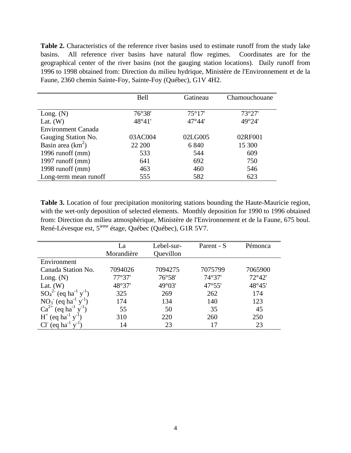**Table 2.** Characteristics of the reference river basins used to estimate runoff from the study lake basins. All reference river basins have natural flow regimes. Coordinates are for the geographical center of the river basins (not the gauging station locations). Daily runoff from 1996 to 1998 obtained from: Direction du milieu hydrique, Ministère de l'Environnement et de la Faune, 2360 chemin Sainte-Foy, Sainte-Foy (Québec), G1V 4H2.

|                           | <b>Bell</b> | Gatineau        | Chamouchouane |
|---------------------------|-------------|-----------------|---------------|
|                           |             |                 |               |
| Long. $(N)$               | 76°38'      | 75°17'          | 73°27'        |
| Lat. $(W)$                | 48°41'      | $47^{\circ}44'$ | 49°24'        |
| <b>Environment Canada</b> |             |                 |               |
| Gauging Station No.       | 03AC004     | 02LG005         | 02RF001       |
| Basin area $(km^2)$       | 22 200      | 6 8 4 0         | 15 300        |
| 1996 runoff (mm)          | 533         | 544             | 609           |
| 1997 runoff $(mm)$        | 641         | 692             | 750           |
| 1998 runoff $(mm)$        | 463         | 460             | 546           |
| Long-term mean runoff     | 555         | 582             | 623           |

**Table 3.** Location of four precipitation monitoring stations bounding the Haute-Mauricie region, with the wet-only deposition of selected elements. Monthly deposition for 1990 to 1996 obtained from: Direction du milieu atmosphérique, Ministère de l'Environnement et de la Faune, 675 boul. René-Lévesque est, 5<sup>ieme</sup> étage, Québec (Québec), G1R 5V7.

|                                                 | La<br>Morandière | Lebel-sur-<br>Quevillon | Parent - S | Pémonca         |
|-------------------------------------------------|------------------|-------------------------|------------|-----------------|
| Environment                                     |                  |                         |            |                 |
| Canada Station No.                              | 7094026          | 7094275                 | 7075799    | 7065900         |
| Long. $(N)$                                     | 77°37'           | 76°58'                  | 74°37'     | $72^{\circ}42'$ |
| Lat. $(W)$                                      | 48°37'           | 49°03'                  | 47°55'     | 48°45'          |
| $SO_4^2$ (eq ha <sup>-1</sup> y <sup>-1</sup> ) | 325              | 269                     | 262        | 174             |
| $NO3$ (eq ha <sup>-1</sup> y <sup>-1</sup> )    | 174              | 134                     | 140        | 123             |
| $Ca^{2+}$<br>$\log \text{ha}^{-1}$              | 55               | 50                      | 35         | 45              |
| $H^+$ (eq ha <sup>-1</sup> )                    | 310              | 220                     | 260        | 250             |
| $\text{eq} \text{ha}^{-1}$                      | 14               | 23                      | 17         | 23              |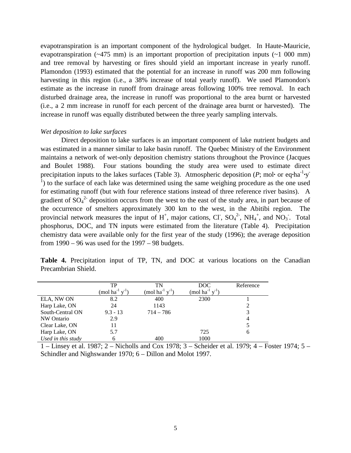evapotranspiration is an important component of the hydrological budget. In Haute-Mauricie, evapotranspiration  $(\sim 475 \text{ mm})$  is an important proportion of precipitation inputs  $(\sim 1, 000 \text{ mm})$ and tree removal by harvesting or fires should yield an important increase in yearly runoff. Plamondon (1993) estimated that the potential for an increase in runoff was 200 mm following harvesting in this region (i.e., a 38% increase of total yearly runoff). We used Plamondon's estimate as the increase in runoff from drainage areas following 100% tree removal. In each disturbed drainage area, the increase in runoff was proportional to the area burnt or harvested (i.e., a 2 mm increase in runoff for each percent of the drainage area burnt or harvested). The increase in runoff was equally distributed between the three yearly sampling intervals.

## *Wet deposition to lake surfaces*

Direct deposition to lake surfaces is an important component of lake nutrient budgets and was estimated in a manner similar to lake basin runoff. The Quebec Ministry of the Environment maintains a network of wet-only deposition chemistry stations throughout the Province (Jacques and Boulet 1988). Four stations bounding the study area were used to estimate direct precipitation inputs to the lakes surfaces (Table 3). Atmospheric deposition (*P*; mol· or eq·ha<sup>-1</sup>·y  $<sup>1</sup>$ ) to the surface of each lake was determined using the same weighing procedure as the one used</sup> for estimating runoff (but with four reference stations instead of three reference river basins). A gradient of  $SO_4^2$  deposition occurs from the west to the east of the study area, in part because of the occurrence of smelters approximately 300 km to the west, in the Abitibi region. The provincial network measures the input of  $H^+$ , major cations, Cl,  $SO_4^2$ , NH<sub>4</sub><sup>+</sup>, and NO<sub>3</sub><sup>-</sup>. Total phosphorus, DOC, and TN inputs were estimated from the literature (Table 4). Precipitation chemistry data were available only for the first year of the study (1996); the average deposition from  $1990 - 96$  was used for the  $1997 - 98$  budgets.

**Table 4.** Precipitation input of TP, TN, and DOC at various locations on the Canadian Precambrian Shield.

|                    | TP                                        | TN                                        | DOC                         | Reference      |
|--------------------|-------------------------------------------|-------------------------------------------|-----------------------------|----------------|
|                    | (mol ha <sup>-1</sup> $y$ <sup>-1</sup> ) | (mol ha <sup>-1</sup> $y$ <sup>-1</sup> ) | (mol ha $^{-1}$ y $^{-1}$ ) |                |
| ELA, NW ON         | 8.2                                       | 400                                       | 2300                        |                |
| Harp Lake, ON      | 24                                        | 1143                                      |                             |                |
| South-Central ON   | $9.3 - 13$                                | $714 - 786$                               |                             | 3              |
| NW Ontario         | 2.9                                       |                                           |                             | $\overline{4}$ |
| Clear Lake, ON     | 11                                        |                                           |                             |                |
| Harp Lake, ON      | 5.7                                       |                                           | 725                         | 6              |
| Used in this study | 6                                         | 400                                       | 1000                        |                |

1 – Linsey et al. 1987; 2 – Nicholls and Cox 1978; 3 – Scheider et al. 1979; 4 – Foster 1974; 5 – Schindler and Nighswander 1970; 6 – Dillon and Molot 1997.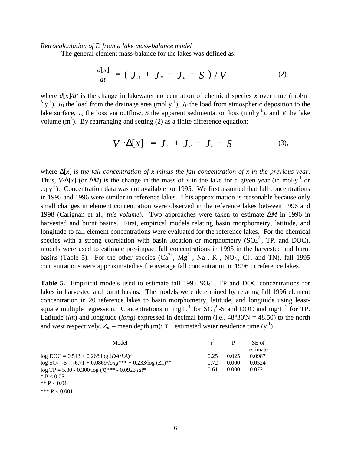#### *Retrocalculation of D from a lake mass-balance model*

The general element mass-balance for the lakes was defined as:

$$
\frac{d[x]}{dt} = \left(\boldsymbol{J}_D + \boldsymbol{J}_P - \boldsymbol{J}_o - \boldsymbol{S}\right) / \boldsymbol{V} \tag{2},
$$

where  $d[x]/dt$  is the change in lakewater concentration of chemical species *x* over time (mol·m <sup>3</sup> $\cdot$ y<sup>-1</sup>), *J<sub>D</sub>* the load from the drainage area (mol $\cdot$ y<sup>-1</sup>), *J<sub>P</sub>* the load from atmospheric deposition to the lake surface,  $J<sub>o</sub>$  the loss via outflow, *S* the apparent sedimentation loss (mol·y<sup>-1</sup>), and *V* the lake volume  $(m<sup>3</sup>)$ . By rearranging and setting (2) as a finite difference equation:

$$
V \cdot \Delta[x] = J_p + J_p - J_o - S \qquad (3),
$$

where Δ[*x*] *is the fall concentration of x minus the fall concentration of x in the previous year*. Thus,  $V \Delta[x]$  (or  $\Delta M$ ) is the change in the mass of x in the lake for a given year (in mol·y<sup>-1</sup> or eq $\cdot$ y<sup>-1</sup>). Concentration data was not available for 1995. We first assumed that fall concentrations in 1995 and 1996 were similar in reference lakes. This approximation is reasonable because only small changes in element concentration were observed in the reference lakes between 1996 and 1998 (Carignan et al., *this volume*). Two approaches were taken to estimate Δ*M* in 1996 in harvested and burnt basins. First, empirical models relating basin morphometry, latitude, and longitude to fall element concentrations were evaluated for the reference lakes. For the chemical species with a strong correlation with basin location or morphometry  $(SO<sub>4</sub><sup>2</sup>$ , TP, and DOC), models were used to estimate pre-impact fall concentrations in 1995 in the harvested and burnt basins (Table 5). For the other species  $(Ca^{2+}, Mg^{2+}, Na^+, K^+, NO_3, Cl, and TN)$ , fall 1995 concentrations were approximated as the average fall concentration in 1996 in reference lakes.

**Table 5.** Empirical models used to estimate fall 1995  $SO_4^2$ , TP and DOC concentrations for lakes in harvested and burnt basins. The models were determined by relating fall 1996 element concentration in 20 reference lakes to basin morphometry, latitude, and longitude using leastsquare multiple regression. Concentrations in mg·L<sup>-1</sup> for SO<sub>4</sub><sup>2</sup>-S and DOC and mg·L<sup>-1</sup> for TP. Latitude (*lat*) and longitude (*long*) expressed in decimal form (i.e.,  $48^{\circ}30'N = 48.50$ ) to the north and west respectively.  $Z_m$  – mean depth (m);  $\tau$  – estimated water residence time (y<sup>-1</sup>).

| Model                                                                                |      |       | SE of    |
|--------------------------------------------------------------------------------------|------|-------|----------|
|                                                                                      |      |       | estimate |
| $log DOC = 0.513 + 0.268 log(DA:LA)*$                                                | 0.25 | 0.025 | 0.0987   |
| $\log SO_4^{2-}$ -S = -6.71 + 0.0869 $\cdot$ long*** + 0.233 $\cdot \log (Z_m)^{**}$ | 0.72 | 0.000 | 0.0524   |
| $\log TP = 5.30 - 0.300 \log (t)$ *** - 0.0925 $\cdot lat^*$                         | 0.61 | 0.000 | 0.072    |
| * P $< 0.05$                                                                         |      |       |          |

\*\*  $P < 0.01$ 

\*\*\*  $P < 0.001$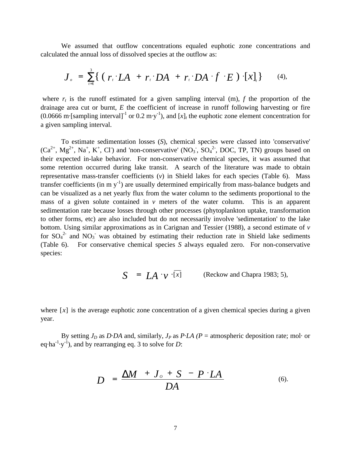We assumed that outflow concentrations equaled euphotic zone concentrations and calculated the annual loss of dissolved species at the outflow as:

$$
\boldsymbol{J}_{\rho} = \sum_{i=1}^{3} \{ (\boldsymbol{r}_{i} \cdot \boldsymbol{L} \boldsymbol{A} + \boldsymbol{r}_{i} \cdot \boldsymbol{D} \boldsymbol{A} + \boldsymbol{r}_{i} \cdot \boldsymbol{D} \boldsymbol{A} \cdot \boldsymbol{f} \cdot \boldsymbol{E}) \cdot [\boldsymbol{x}]_{i} \} \qquad (4),
$$

where  $r_t$  is the runoff estimated for a given sampling interval (m),  $f$  the proportion of the drainage area cut or burnt, *E* the coefficient of increase in runoff following harvesting or fire  $(0.0666 \text{ m} \cdot \text{[sampling interval]}^{-1} \text{ or } 0.2 \text{ m} \cdot \text{y}^{-1})$ , and  $[x]_t$  the euphotic zone element concentration for a given sampling interval.

To estimate sedimentation losses (*S*), chemical species were classed into 'conservative'  $(Ca^{2+}, Mg^{2+}, Na^+, K^+, Cl)$  and 'non-conservative' (NO<sub>3</sub>, SO<sub>4</sub><sup>2</sup>, DOC, TP, TN) groups based on their expected in-lake behavior. For non-conservative chemical species, it was assumed that some retention occurred during lake transit. A search of the literature was made to obtain representative mass-transfer coefficients (*v*) in Shield lakes for each species (Table 6). Mass transfer coefficients (in m  $y^{-1}$ ) are usually determined empirically from mass-balance budgets and can be visualized as a net yearly flux from the water column to the sediments proportional to the mass of a given solute contained in *v* meters of the water column. This is an apparent sedimentation rate because losses through other processes (phytoplankton uptake, transformation to other forms, etc) are also included but do not necessarily involve 'sedimentation' to the lake bottom. Using similar approximations as in Carignan and Tessier (1988), a second estimate of *v* for  $SO_4^2$  and  $NO_3^-$  was obtained by estimating their reduction rate in Shield lake sediments (Table 6). For conservative chemical species *S* always equaled zero. For non-conservative species:

$$
S = LA \cdot v \cdot [x]
$$
 (Reckow and Chapra 1983; 5),

where  $[x]$  is the average euphotic zone concentration of a given chemical species during a given year.

By setting  $J_p$  as *D*·*DA* and, similarly,  $J_p$  as *P·LA (P = atmospheric deposition rate; mol· or* eq $\cdot$ ha<sup>-1</sup> $\cdot$ y<sup>-1</sup>), and by rearranging eq. 3 to solve for *D*:

$$
D = \frac{\Delta M + J_o + S - P \cdot LA}{DA}
$$
 (6).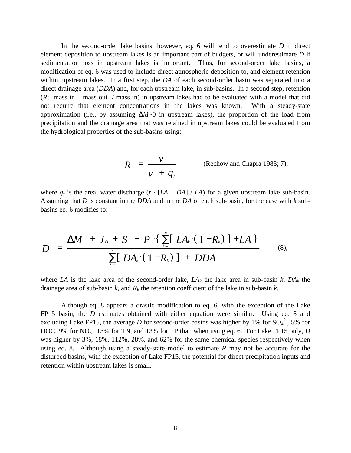In the second-order lake basins, however, eq. 6 will tend to overestimate *D* if direct element deposition to upstream lakes is an important part of budgets, or will underestimate *D* if sedimentation loss in upstream lakes is important. Thus, for second-order lake basins, a modification of eq. 6 was used to include direct atmospheric deposition to, and element retention within, upstream lakes. In a first step, the *DA* of each second-order basin was separated into a direct drainage area (*DDA*) and, for each upstream lake, in sub-basins. In a second step, retention  $(R;$  [mass in – mass out] / mass in) in upstream lakes had to be evaluated with a model that did not require that element concentrations in the lakes was known. With a steady-state approximation (i.e., by assuming  $\Delta M \sim 0$  in upstream lakes), the proportion of the load from precipitation and the drainage area that was retained in upstream lakes could be evaluated from the hydrological properties of the sub-basins using:

$$
R = \frac{v}{v + q_s}
$$
 (Rechow and Chapra 1983; 7),

where  $q_s$  is the areal water discharge  $(r \cdot [LA + DA] / LA)$  for a given upstream lake sub-basin. Assuming that *D* is constant in the *DDA* and in the *DA* of each sub-basin, for the case with *k* subbasins eq. 6 modifies to:

$$
D = \frac{\Delta M + J_o + S - P \cdot \left\{ \sum_{k=1}^{n} [LA_k \cdot (1 - R_k)] + LA \right\}}{\sum_{k=1}^{n} [DA_k \cdot (1 - R_k)] + DDA}
$$
(8),

where *LA* is the lake area of the second-order lake,  $LA_k$  the lake area in sub-basin  $k$ ,  $DA_k$  the drainage area of sub-basin *k*, and *Rk* the retention coefficient of the lake in sub-basin *k*.

Although eq. 8 appears a drastic modification to eq. 6, with the exception of the Lake FP15 basin, the *D* estimates obtained with either equation were similar. Using eq. 8 and excluding Lake FP15, the average *D* for second-order basins was higher by 1% for  $SO_4^2$ , 5% for DOC, 9% for NO<sub>3</sub><sup>-</sup>, 13% for TN, and 13% for TP than when using eq. 6. For Lake FP15 only, *D* was higher by 3%, 18%, 112%, 28%, and 62% for the same chemical species respectively when using eq. 8. Although using a steady-state model to estimate *R* may not be accurate for the disturbed basins, with the exception of Lake FP15, the potential for direct precipitation inputs and retention within upstream lakes is small.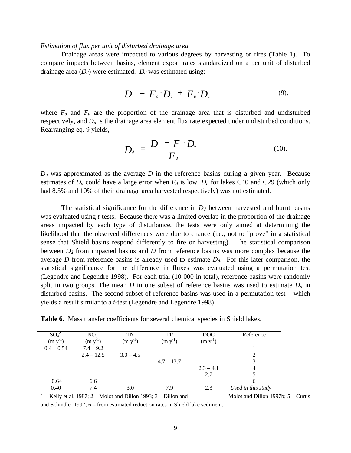#### *Estimation of flux per unit of disturbed drainage area*

Drainage areas were impacted to various degrees by harvesting or fires (Table 1). To compare impacts between basins, element export rates standardized on a per unit of disturbed drainage area  $(D_d)$  were estimated.  $D_d$  was estimated using:

$$
D = F_d \cdot D_d + F_u \cdot D_u \tag{9}
$$

where  $F_d$  and  $F_u$  are the proportion of the drainage area that is disturbed and undisturbed respectively, and *Du* is the drainage area element flux rate expected under undisturbed conditions. Rearranging eq. 9 yields,

$$
D_{d} = \frac{D - F_{u} \cdot D_{u}}{F_{d}} \qquad (10)
$$

 $D<sub>u</sub>$  was approximated as the average  $D$  in the reference basins during a given year. Because estimates of  $D_d$  could have a large error when  $F_d$  is low,  $D_d$  for lakes C40 and C29 (which only had 8.5% and 10% of their drainage area harvested respectively) was not estimated.

The statistical significance for the difference in  $D_d$  between harvested and burnt basins was evaluated using *t*-tests. Because there was a limited overlap in the proportion of the drainage areas impacted by each type of disturbance, the tests were only aimed at determining the likelihood that the observed differences were due to chance (i.e., not to "prove" in a statistical sense that Shield basins respond differently to fire or harvesting). The statistical comparison between *Dd* from impacted basins and *D* from reference basins was more complex because the average *D* from reference basins is already used to estimate *Dd*. For this later comparison, the statistical significance for the difference in fluxes was evaluated using a permutation test (Legendre and Legendre 1998). For each trial (10 000 in total), reference basins were randomly split in two groups. The mean *D* in one subset of reference basins was used to estimate *Dd* in disturbed basins. The second subset of reference basins was used in a permutation test – which yields a result similar to a *t*-test (Legendre and Legendre 1998).

**Table 6.** Mass transfer coefficients for several chemical species in Shield lakes.

| $SO_4$       | NO <sub>3</sub>   | TN          | TP           | <b>DOC</b>        | Reference          |
|--------------|-------------------|-------------|--------------|-------------------|--------------------|
| (m y)        | (m <sub>y</sub> ) | $(m y-1)$   | (m y)        | (m <sub>y</sub> ) |                    |
| $0.4 - 0.54$ | $7.4 - 9.2$       |             |              |                   |                    |
|              | $2.4 - 12.5$      | $3.0 - 4.5$ |              |                   |                    |
|              |                   |             | $4.7 - 13.7$ |                   |                    |
|              |                   |             |              | $2.3 - 4.1$       | 4                  |
|              |                   |             |              | 2.7               |                    |
| 0.64         | 6.6               |             |              |                   | 6                  |
| 0.40         | 7.4               | 3.0         | 7.9          | 2.3               | Used in this study |

1 – Kelly et al. 1987; 2 – Molot and Dillon 1993; 3 – Dillon and Molot and Dillon 1997b; 5 – Curtis

and Schindler 1997; 6 – from estimated reduction rates in Shield lake sediment.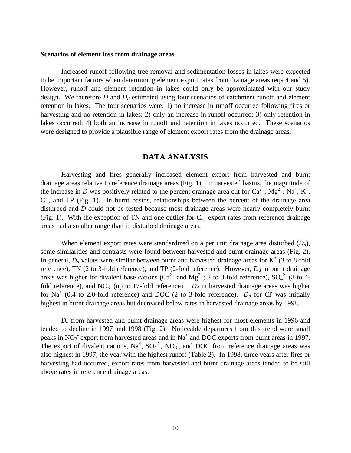#### **Scenarios of element loss from drainage areas**

Increased runoff following tree removal and sedimentation losses in lakes were expected to be important factors when determining element export rates from drainage areas (eqs 4 and 5). However, runoff and element retention in lakes could only be approximated with our study design. We therefore *D* and *Dd* estimated using four scenarios of catchment runoff and element retention in lakes. The four scenarios were: 1) no increase in runoff occurred following fires or harvesting and no retention in lakes; 2) only an increase in runoff occurred; 3) only retention in lakes occurred; 4) both an increase in runoff and retention in lakes occurred. These scenarios were designed to provide a plausible range of element export rates from the drainage areas.

# **DATA ANALYSIS**

Harvesting and fires generally increased element export from harvested and burnt drainage areas relative to reference drainage areas (Fig. 1). In harvested basins, the magnitude of the increase in *D* was positively related to the percent drainage area cut for  $Ca^{2+}$ ,  $Mg^{2+}$ ,  $Na^{+}$ ,  $K^{+}$ , Cl<sup>-</sup>, and TP (Fig. 1). In burnt basins, relationships between the percent of the drainage area disturbed and *D* could not be tested because most drainage areas were nearly completely burnt (Fig. 1). With the exception of TN and one outlier for Cl, export rates from reference drainage areas had a smaller range than in disturbed drainage areas.

When element export rates were standardized on a per unit drainage area disturbed (*Dd*), some similarities and contrasts were found between harvested and burnt drainage areas (Fig. 2). In general,  $D_d$  values were similar between burnt and harvested drainage areas for  $K^+$  (3 to 8-fold reference), TN (2 to 3-fold reference), and TP (2-fold reference). However, *Dd* in burnt drainage areas was higher for divalent base cations ( $Ca^{2+}$  and  $Mg^{2+}$ ; 2 to 3-fold reference),  $SO_4^2$ <sup>2</sup> (3 to 4fold reference), and  $NO_3^-$  (up to 17-fold reference).  $D_d$  in harvested drainage areas was higher for Na<sup>+</sup> (0.4 to 2.0-fold reference) and DOC (2 to 3-fold reference).  $D_d$  for Cl was initially highest in burnt drainage areas but decreased below rates in harvested drainage areas by 1998.

*Dd* from harvested and burnt drainage areas were highest for most elements in 1996 and tended to decline in 1997 and 1998 (Fig. 2). Noticeable departures from this trend were small peaks in  $NO<sub>3</sub>$  export from harvested areas and in Na<sup>+</sup> and DOC exports from burnt areas in 1997. The export of divalent cations,  $Na^+$ ,  $SO_4^2$ <sup>2</sup>,  $NO_3$ <sup>-</sup>, and DOC from reference drainage areas was also highest in 1997, the year with the highest runoff (Table 2). In 1998, three years after fires or harvesting had occurred, export rates from harvested and burnt drainage areas tended to be still above rates in reference drainage areas.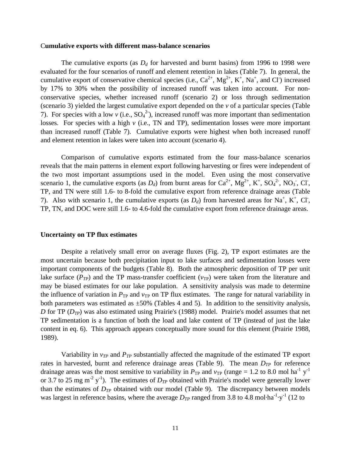#### C**umulative exports with different mass-balance scenarios**

The cumulative exports (as  $D_d$  for harvested and burnt basins) from 1996 to 1998 were evaluated for the four scenarios of runoff and element retention in lakes (Table 7). In general, the cumulative export of conservative chemical species (i.e.,  $Ca^{2+}$ ,  $Mg^{2+}$ ,  $K^+$ , Na<sup>+</sup>, and Cl<sup>-</sup>) increased by 17% to 30% when the possibility of increased runoff was taken into account. For nonconservative species, whether increased runoff (scenario 2) or loss through sedimentation (scenario 3) yielded the largest cumulative export depended on the *v* of a particular species (Table 7). For species with a low  $v$  (i.e.,  $SO_4^2$ ), increased runoff was more important than sedimentation losses. For species with a high *v* (i.e., TN and TP), sedimentation losses were more important than increased runoff (Table 7). Cumulative exports were highest when both increased runoff and element retention in lakes were taken into account (scenario 4).

Comparison of cumulative exports estimated from the four mass-balance scenarios reveals that the main patterns in element export following harvesting or fires were independent of the two most important assumptions used in the model. Even using the most conservative scenario 1, the cumulative exports (as  $D_d$ ) from burnt areas for  $Ca^{2+}$ ,  $Mg^{2+}$ ,  $K^+$ ,  $SO_4^2$ <sup>-</sup>,  $NO_3$ <sup>-</sup>, Cl<sup>-</sup>, TP, and TN were still 1.6- to 8-fold the cumulative export from reference drainage areas (Table 7). Also with scenario 1, the cumulative exports (as  $D_d$ ) from harvested areas for Na<sup>+</sup>, K<sup>+</sup>, Cl<sup>-</sup>, TP, TN, and DOC were still 1.6- to 4.6-fold the cumulative export from reference drainage areas.

#### **Uncertainty on TP flux estimates**

Despite a relatively small error on average fluxes (Fig. 2), TP export estimates are the most uncertain because both precipitation input to lake surfaces and sedimentation losses were important components of the budgets (Table 8). Both the atmospheric deposition of TP per unit lake surface  $(P_{TP})$  and the TP mass-transfer coefficient  $(v_{TP})$  were taken from the literature and may be biased estimates for our lake population. A sensitivity analysis was made to determine the influence of variation in  $P_{TP}$  and  $v_{TP}$  on TP flux estimates. The range for natural variability in both parameters was estimated as  $\pm 50\%$  (Tables 4 and 5). In addition to the sensitivity analysis, *D* for TP (*DTP*) was also estimated using Prairie's (1988) model. Prairie's model assumes that net TP sedimentation is a function of both the load and lake content of TP (instead of just the lake content in eq. 6). This approach appears conceptually more sound for this element (Prairie 1988, 1989).

Variability in *vTP* and *PTP* substantially affected the magnitude of the estimated TP export rates in harvested, burnt and reference drainage areas (Table 9). The mean *DTP* for reference drainage areas was the most sensitive to variability in  $P_{TP}$  and  $v_{TP}$  (range = 1.2 to 8.0 mol ha<sup>-1</sup> y<sup>-1</sup> or 3.7 to 25 mg m<sup>-2</sup> y<sup>-1</sup>). The estimates of  $D_{TP}$  obtained with Prairie's model were generally lower than the estimates of  $D_{TP}$  obtained with our model (Table 9). The discrepancy between models was largest in reference basins, where the average  $D_{TP}$  ranged from 3.8 to 4.8 mol·ha<sup>-1</sup>·y<sup>-1</sup> (12 to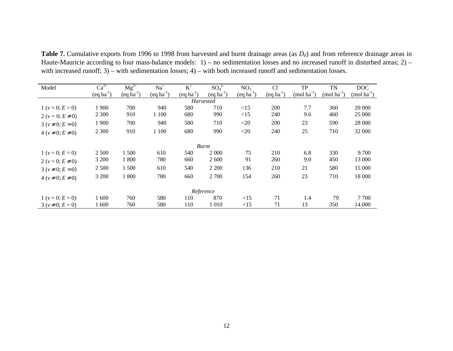**Table 7.** Cumulative exports from 1996 to 1998 from harvested and burnt drainage areas (as *Dd*) and from reference drainage areas in Haute-Mauricie according to four mass-balance models: 1) – no sedimentation losses and no increased runoff in disturbed areas; 2) – with increased runoff; 3) – with sedimentation losses; 4) – with both increased runoff and sedimentation losses.

| Model                      | $Ca^{2+}$      | $Mg^{2+}$      | $Na+$          | $K^+$            | SO <sub>4</sub> <sup>2</sup> | NO <sub>3</sub> | Cl <sup>2</sup> | <b>TP</b>       | TN              | DOC             |
|----------------------------|----------------|----------------|----------------|------------------|------------------------------|-----------------|-----------------|-----------------|-----------------|-----------------|
|                            | $(eq ha^{-1})$ | $(eq ha^{-1})$ | $(eq ha^{-1})$ | $(eq ha^{-1})$   | $(eq ha^{-1})$               | $(eq ha^{-1})$  | $(eq ha^{-1})$  | $(mod ha^{-1})$ | $(mod ha^{-1})$ | $(mod ha^{-1})$ |
|                            |                |                |                | <b>Harvested</b> |                              |                 |                 |                 |                 |                 |
| $1 (v = 0; E = 0)$         | 1 900          | 700            | 940            | 580              | 710                          | $\leq$ 15       | 200             | 7.7             | 360             | 20 000          |
| 2 ( $v = 0$ ; $E \neq 0$ ) | 2 3 0 0        | 910            | 1 100          | 680              | 990                          | <15             | 240             | 9.6             | 460             | 25 000          |
| $3 (v \neq 0; E = 0)$      | 1 900          | 700            | 940            | 580              | 710                          | $<$ 20          | 200             | 23              | 590             | 28 000          |
| $4 (v \neq 0; E \neq 0)$   | 2 3 0 0        | 910            | 1 100          | 680              | 990                          | $<$ 20          | 240             | 25              | 710             | 32 000          |
|                            |                |                |                | <b>Burnt</b>     |                              |                 |                 |                 |                 |                 |
| $1 (v = 0; E = 0)$         | 2 5 0 0        | 1 500          | 610            | 540              | 2 0 0 0                      | 75              | 210             | 6.8             | 330             | 9 700           |
| 2 ( $v = 0$ ; $E \neq 0$ ) | 3 200          | 1 800          | 780            | 660              | 2 600                        | 91              | 260             | 9.0             | 450             | 13 000          |
| $3 (v \neq 0; E = 0)$      | 2 500          | 1 500          | 610            | 540              | 2 2 0 0                      | 136             | 210             | 21              | 580             | 15 000          |
| $4 (v \neq 0; E \neq 0)$   | 3 200          | 1 800          | 780            | 660              | 2 700                        | 154             | 260             | 23              | 710             | 18 000          |
| Reference                  |                |                |                |                  |                              |                 |                 |                 |                 |                 |
| $1 (v = 0; E = 0)$         | 1600           | 760            | 580            | 110              | 870                          | <15             | 71              | 1.4             | 79              | 7 700           |
| $3 (v \neq 0; E = 0)$      | 1 600          | 760            | 580            | 110              | 1 0 1 0                      | <15             | 71              | 13              | 350             | 14 000          |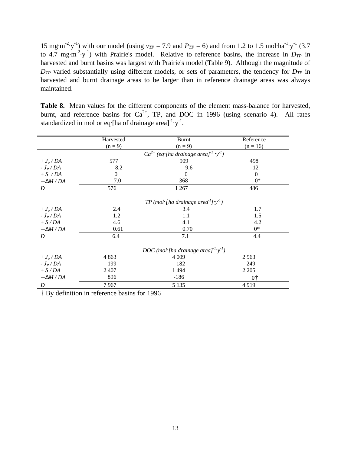15 mg·m<sup>-2</sup>·y<sup>-1</sup>) with our model (using  $v_{TP} = 7.9$  and  $P_{TP} = 6$ ) and from 1.2 to 1.5 mol·ha<sup>-1</sup>·y<sup>-1</sup> (3.7) to 4.7 mg·m<sup>-2</sup>·y<sup>-1</sup>) with Prairie's model. Relative to reference basins, the increase in  $D_{TP}$  in harvested and burnt basins was largest with Prairie's model (Table 9). Although the magnitude of *DTP* varied substantially using different models, or sets of parameters, the tendency for *DTP* in harvested and burnt drainage areas to be larger than in reference drainage areas was always maintained.

**Table 8.** Mean values for the different components of the element mass-balance for harvested, burnt, and reference basins for  $Ca^{2+}$ , TP, and DOC in 1996 (using scenario 4). All rates standardized in mol or eq $\cdot$ [ha of drainage area]<sup>-1</sup> $\cdot$ y<sup>-1</sup>.

|                   | Harvested | <b>Burnt</b>                                                      | Reference  |
|-------------------|-----------|-------------------------------------------------------------------|------------|
|                   | $(n = 9)$ | $(n=9)$                                                           | $(n = 16)$ |
|                   |           | $Ca^{2+}$ (eq·[ha drainage area] <sup>-1</sup> ·y <sup>-1</sup> ) |            |
| $+J_o$ / DA       | 577       | 909                                                               | 498        |
| - $J_P$ / DA      | 8.2       | 9.6                                                               | 12         |
| $+ S / DA$        | $\Omega$  | 0                                                                 | $\Omega$   |
| $+ \Delta M / DA$ | 7.0       | 368                                                               | $0^*$      |
| D                 | 576       | 1 2 6 7                                                           | 486        |
|                   |           | TP (mol·[ha drainage area <sup>-1</sup> ]·y <sup>-1</sup> )       |            |
| $+J_o$ / DA       | 2.4       | 3.4                                                               | 1.7        |
| - $J_P$ / DA      | 1.2       | 1.1                                                               | 1.5        |
| $+ S/DA$          | 4.6       | 4.1                                                               | 4.2        |
| $+\Delta M / DA$  | 0.61      | 0.70                                                              | $0^*$      |
| D                 | 6.4       | 7.1                                                               | 4.4        |
|                   |           | DOC (mol·[ha drainage area] <sup>-1</sup> ·y <sup>-1</sup> )      |            |
| $+J_o$ / DA       | 4 8 6 3   | 4 0 0 9                                                           | 2 9 6 3    |
| - $J_P$ / DA      | 199       | 182                                                               | 249        |
| $+ S/DA$          | 2 4 0 7   | 1494                                                              | 2 2 0 5    |
| $+\Delta M / DA$  | 896       | $-186$                                                            | $0+$       |
| D                 | 7967      | 5 1 3 5                                                           | 4919       |

† By definition in reference basins for 1996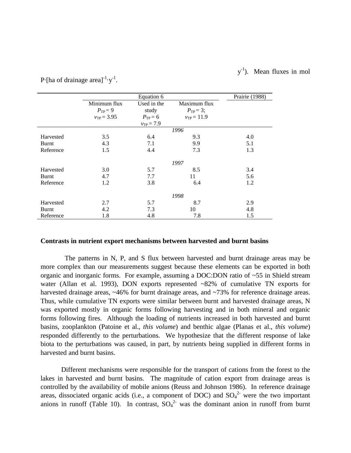#### $y$  $v^{-1}$ ). Mean fluxes in mol

|           |                 | Equation 6     |                 | Prairie (1988) |
|-----------|-----------------|----------------|-----------------|----------------|
|           | Minimum flux    | Used in the    | Maximum flux    |                |
|           | $P_{TP} = 9$    | study          | $P_{TP} = 3;$   |                |
|           | $v_{TP} = 3.95$ | $P_{TP} = 6$   | $v_{TP} = 11.9$ |                |
|           |                 | $v_{TP} = 7.9$ |                 |                |
|           |                 |                | 1996            |                |
| Harvested | 3.5             | 6.4            | 9.3             | 4.0            |
| Burnt     | 4.3             | 7.1            | 9.9             | 5.1            |
| Reference | 1.5             | 4.4            | 7.3             | 1.3            |
|           |                 |                |                 |                |
|           |                 |                | 1997            |                |
| Harvested | 3.0             | 5.7            | 8.5             | 3.4            |
| Burnt     | 4.7             | 7.7            | 11              | 5.6            |
| Reference | 1.2             | 3.8            | 6.4             | 1.2            |
|           |                 |                |                 |                |
|           |                 |                | 1998            |                |
| Harvested | 2.7             | 5.7            | 8.7             | 2.9            |
| Burnt     | 4.2             | 7.3            | 10              | 4.8            |
| Reference | 1.8             | 4.8            | 7.8             | 1.5            |

P [ha of drainage area] $^{-1}$   $y^{-1}$ .

#### **Contrasts in nutrient export mechanisms between harvested and burnt basins**

 The patterns in N, P, and S flux between harvested and burnt drainage areas may be more complex than our measurements suggest because these elements can be exported in both organic and inorganic forms. For example, assuming a DOC:DON ratio of ~55 in Shield stream water (Allan et al. 1993), DON exports represented ~82% of cumulative TN exports for harvested drainage areas, ~46% for burnt drainage areas, and ~73% for reference drainage areas. Thus, while cumulative TN exports were similar between burnt and harvested drainage areas, N was exported mostly in organic forms following harvesting and in both mineral and organic forms following fires. Although the loading of nutrients increased in both harvested and burnt basins, zooplankton (Patoine et al., *this volume*) and benthic algae (Planas et al., *this volume*) responded differently to the perturbations. We hypothesize that the different response of lake biota to the perturbations was caused, in part, by nutrients being supplied in different forms in harvested and burnt basins.

Different mechanisms were responsible for the transport of cations from the forest to the lakes in harvested and burnt basins. The magnitude of cation export from drainage areas is controlled by the availability of mobile anions (Reuss and Johnson 1986). In reference drainage areas, dissociated organic acids (i.e., a component of DOC) and  $SO_4^2$  were the two important anions in runoff (Table 10). In contrast,  $SO_4^2$  was the dominant anion in runoff from burnt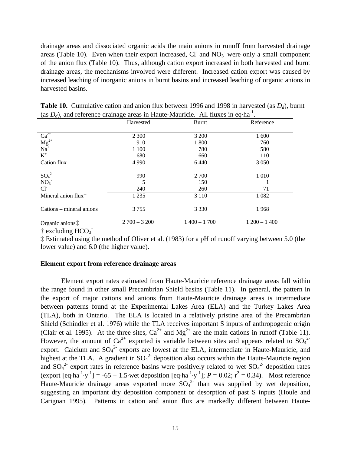drainage areas and dissociated organic acids the main anions in runoff from harvested drainage areas (Table 10). Even when their export increased,  $CI$  and  $NO<sub>3</sub>$  were only a small component of the anion flux (Table 10). Thus, although cation export increased in both harvested and burnt drainage areas, the mechanisms involved were different. Increased cation export was caused by increased leaching of inorganic anions in burnt basins and increased leaching of organic anions in harvested basins.

|                                                                                              | Harvested     | Burnt         | Reference     |
|----------------------------------------------------------------------------------------------|---------------|---------------|---------------|
|                                                                                              |               |               |               |
| $\begin{array}{l} \text{Ca}^{2+} \\ \text{Mg}^{2+} \\ \text{Na}^+ \\ \text{K}^+ \end{array}$ | 2 3 0 0       | 3 200         | 1 600         |
|                                                                                              | 910           | 1 800         | 760           |
|                                                                                              | 1 100         | 780           | 580           |
|                                                                                              | 680           | 660           | 110           |
| Cation flux                                                                                  | 4 9 9 0       | 6440          | 3 0 5 0       |
|                                                                                              |               |               |               |
| SO <sub>4</sub> <sup>2</sup>                                                                 | 990           | 2 700         | 1 0 1 0       |
| NO <sub>3</sub>                                                                              | 5             | 150           |               |
| CI <sub>1</sub>                                                                              | 240           | 260           | 71            |
| Mineral anion flux <sup>†</sup>                                                              | 1 2 3 5       | 3 1 1 0       | 1 0 8 2       |
|                                                                                              |               |               |               |
| Cations - mineral anions                                                                     | 3 7 5 5       | 3 3 3 0       | 1968          |
|                                                                                              |               |               |               |
| Organic anions:                                                                              | $2700 - 3200$ | $1400 - 1700$ | $1200 - 1400$ |

**Table 10.** Cumulative cation and anion flux between 1996 and 1998 in harvested (as *Dd*), burnt (as  $D_d$ ), and reference drainage areas in Haute-Mauricie. All fluxes in eq·ha<sup>-1</sup>.

† excluding HCO<sub>3</sub>

‡ Estimated using the method of Oliver et al. (1983) for a pH of runoff varying between 5.0 (the lower value) and 6.0 (the higher value).

# **Element export from reference drainage areas**

Element export rates estimated from Haute-Mauricie reference drainage areas fall within the range found in other small Precambrian Shield basins (Table 11). In general, the pattern in the export of major cations and anions from Haute-Mauricie drainage areas is intermediate between patterns found at the Experimental Lakes Area (ELA) and the Turkey Lakes Area (TLA), both in Ontario. The ELA is located in a relatively pristine area of the Precambrian Shield (Schindler et al. 1976) while the TLA receives important S inputs of anthropogenic origin (Clair et al. 1995). At the three sites,  $Ca^{2+}$  and  $Mg^{2+}$  are the main cations in runoff (Table 11). However, the amount of Ca<sup>2+</sup> exported is variable between sites and appears related to SO<sub>4</sub><sup>2-</sup> export. Calcium and  $SO_4^2$  exports are lowest at the ELA, intermediate in Haute-Mauricie, and highest at the TLA. A gradient in  $SO_4^2$  deposition also occurs within the Haute-Mauricie region and  $SO_4^2$  export rates in reference basins were positively related to wet  $SO_4^2$  deposition rates (export  $[eq<sup>-</sup>ha<sup>-1</sup>·y<sup>-1</sup>] = -65 + 1.5$  wet deposition  $[eq<sup>-</sup>ha<sup>-1</sup>·y<sup>-1</sup>]$ ;  $P = 0.02$ ;  $r<sup>2</sup> = 0.34$ ). Most reference Haute-Mauricie drainage areas exported more  $SO_4^2$  than was supplied by wet deposition, suggesting an important dry deposition component or desorption of past S inputs (Houle and Carignan 1995). Patterns in cation and anion flux are markedly different between Haute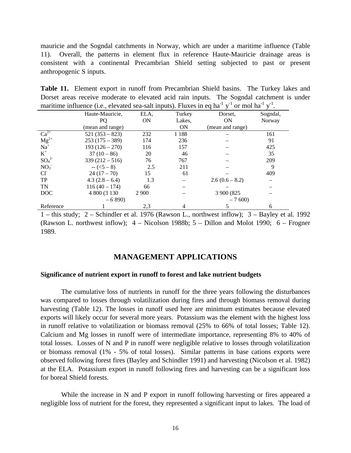mauricie and the Sogndal catchments in Norway, which are under a maritime influence (Table 11). Overall, the patterns in element flux in reference Haute-Mauricie drainage areas is consistent with a continental Precambrian Shield setting subjected to past or present anthropogenic S inputs.

**Table 11.** Element export in runoff from Precambrian Shield basins. The Turkey lakes and Dorset areas receive moderate to elevated acid rain inputs. The Sogndal catchment is under maritime influence (i.e., elevated sea-salt inputs). Fluxes in eq ha<sup>-1</sup> y<sup>-1</sup> or mol ha<sup>-1</sup> y<sup>-1</sup>.

|                                               | Haute-Mauricie,  | ELA,    | Turkey    | Dorset.          | Sogndal,      |
|-----------------------------------------------|------------------|---------|-----------|------------------|---------------|
|                                               | PQ.              | ON      | Lakes,    | <b>ON</b>        | <b>Norway</b> |
|                                               | (mean and range) |         | <b>ON</b> | (mean and range) |               |
| $Ca2+$<br>Mg <sup>2+</sup><br>Na <sup>+</sup> | $521(353 - 823)$ | 232     | 1 1 8 8   |                  | 161           |
|                                               | $253(175-389)$   | 174     | 236       |                  | 91            |
|                                               | $193(126-270)$   | 116     | 157       |                  | 425           |
| $K^+$                                         | $37(10-86)$      | 20      | 46        |                  | 35            |
| $SO_4^2$                                      | $339(212 - 516)$ | 76      | 767       |                  | 209           |
| NO <sub>3</sub>                               | $-(5-8)$         | 2.5     | 211       |                  | 9             |
| $Cl^{\dagger}$                                | $24(17-70)$      | 15      | 61        |                  | 409           |
| <b>TP</b>                                     | $4.3(2.8-6.4)$   | 1.3     |           | $2.6(0.6 - 8.2)$ |               |
| TN                                            | $116(40 - 174)$  | 66      |           |                  |               |
| <b>DOC</b>                                    | 4 800 (3 130)    | 2 9 0 0 |           | 3 900 (825)      |               |
|                                               | $-6890$          |         |           | $-7600$          |               |
| Reference                                     |                  | 2,3     |           |                  | 6             |

1 – this study; 2 – Schindler et al. 1976 (Rawson L., northwest inflow); 3 – Bayley et al. 1992 (Rawson L. northwest inflow); 4 – Nicolson 1988b; 5 – Dillon and Molot 1990; 6 – Frogner 1989.

# **MANAGEMENT APPLICATIONS**

#### **Significance of nutrient export in runoff to forest and lake nutrient budgets**

The cumulative loss of nutrients in runoff for the three years following the disturbances was compared to losses through volatilization during fires and through biomass removal during harvesting (Table 12). The losses in runoff used here are minimum estimates because elevated exports will likely occur for several more years. Potassium was the element with the highest loss in runoff relative to volatilization or biomass removal (25% to 66% of total losses; Table 12). Calcium and Mg losses in runoff were of intermediate importance, representing 8% to 40% of total losses. Losses of N and P in runoff were negligible relative to losses through volatilization or biomass removal (1% - 5% of total losses). Similar patterns in base cations exports were observed following forest fires (Bayley and Schindler 1991) and harvesting (Nicolson et al. 1982) at the ELA. Potassium export in runoff following fires and harvesting can be a significant loss for boreal Shield forests.

While the increase in N and P export in runoff following harvesting or fires appeared a negligible loss of nutrient for the forest, they represented a significant input to lakes. The load of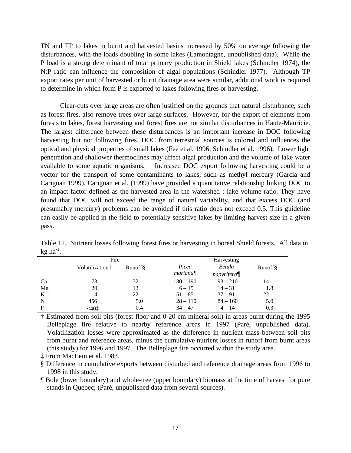TN and TP to lakes in burnt and harvested basins increased by 50% on average following the disturbances, with the loads doubling in some lakes (Lamontagne, unpublished data). While the P load is a strong determinant of total primary production in Shield lakes (Schindler 1974), the N:P ratio can influence the composition of algal populations (Schindler 1977). Although TP export rates per unit of harvested or burnt drainage area were similar, additional work is required to determine in which form P is exported to lakes following fires or harvesting.

Clear-cuts over large areas are often justified on the grounds that natural disturbance, such as forest fires, also remove trees over large surfaces. However, for the export of elements from forests to lakes, forest harvesting and forest fires are not similar disturbances in Haute-Mauricie. The largest difference between these disturbances is an important increase in DOC following harvesting but not following fires. DOC from terrestrial sources is colored and influences the optical and physical properties of small lakes (Fee et al. 1996; Schindler et al. 1996). Lower light penetration and shallower thermoclines may affect algal production and the volume of lake water available to some aquatic organisms. Increased DOC export following harvesting could be a vector for the transport of some contaminants to lakes, such as methyl mercury (Garcia and Carignan 1999). Carignan et al. (1999) have provided a quantitative relationship linking DOC to an impact factor defined as the harvested area in the watershed : lake volume ratio. They have found that DOC will not exceed the range of natural variability, and that excess DOC (and presumably mercury) problems can be avoided if this ratio does not exceed 0.5. This guideline can easily be applied in the field to potentially sensitive lakes by limiting harvest size in a given pass.

|             | Fire                        |                 |  | Harvesting         |                    |                 |  |
|-------------|-----------------------------|-----------------|--|--------------------|--------------------|-----------------|--|
|             | Volatilization <sup>†</sup> | <b>Runoff</b> § |  | Picea              | Betula             | <b>Runoff</b> § |  |
|             |                             |                 |  | $\textit{mariana}$ | $p$ apyrifera $\P$ |                 |  |
| Ca          | 73                          | 32              |  | $130 - 190$        | $93 - 210$         | 14              |  |
| Mg          | 20                          | 13              |  | $6 - 15$           | $14 - 31$          | 1.8             |  |
| K           | 14                          | 22              |  | $51 - 85$          | $37 - 91$          | 22              |  |
| $\mathbf N$ | 456                         | 5.0             |  | $28 - 110$         | $84 - 160$         | 5.0             |  |
| P           | $< 40 \ddagger$             | 0.4             |  | $34 - 47$          | $4 - 14$           | 0.3             |  |

Table 12. Nutrient losses following forest fires or harvesting in boreal Shield forests. All data in  $kg$  ha $^{-1}$ .

† Estimated from soil pits (forest floor and 0-20 cm mineral soil) in areas burnt during the 1995 Belleplage fire relative to nearby reference areas in 1997 (Paré, unpublished data). Volatilization losses were approximated as the difference in nutrient mass between soil pits from burnt and reference areas, minus the cumulative nutrient losses in runoff from burnt areas (this study) for 1996 and 1997. The Belleplage fire occurred within the study area.

‡ From MacLein et al. 1983.

§ Difference in cumulative exports between disturbed and reference drainage areas from 1996 to 1998 in this study.

¶ Bole (lower boundary) and whole-tree (upper boundary) biomass at the time of harvest for pure stands in Québec; (Paré, unpublished data from several sources).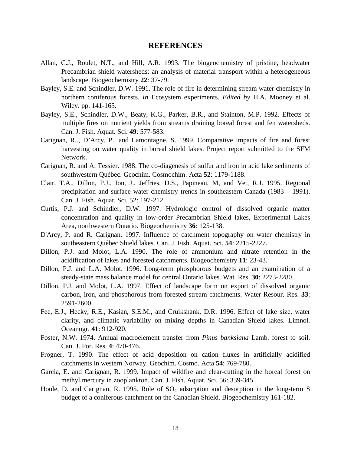# **REFERENCES**

- Allan, C.J., Roulet, N.T., and Hill, A.R. 1993. The biogeochemistry of pristine, headwater Precambrian shield watersheds: an analysis of material transport within a heterogeneous landscape. Biogeochemistry **22**: 37-79.
- Bayley, S.E. and Schindler, D.W. 1991. The role of fire in determining stream water chemistry in northern coniferous forests. *In* Ecosystem experiments. *Edited by* H.A. Mooney et al. Wiley. pp. 141-165.
- Bayley, S.E., Schindler, D.W., Beaty, K.G., Parker, B.R., and Stainton, M.P. 1992. Effects of multiple fires on nutrient yields from streams draining boreal forest and fen watersheds. Can. J. Fish. Aquat. Sci. **49**: 577-583.
- Carignan, R.., D'Arcy, P., and Lamontagne, S. 1999. Comparative impacts of fire and forest harvesting on water quality in boreal shield lakes. Project report submitted to the SFM Network.
- Carignan, R. and A. Tessier. 1988. The co-diagenesis of sulfur and iron in acid lake sediments of southwestern Québec. Geochim. Cosmochim. Acta **52**: 1179-1188.
- Clair, T.A., Dillon, P.J., Ion, J., Jeffries, D.S., Papineau, M, and Vet, R.J. 1995. Regional precipitation and surface water chemistry trends in southeastern Canada (1983 – 1991). Can. J. Fish. Aquat. Sci. 52: 197-212.
- Curtis, P.J. and Schindler, D.W. 1997. Hydrologic control of dissolved organic matter concentration and quality in low-order Precambrian Shield lakes, Experimental Lakes Area, northwestern Ontario. Biogeochemistry **36**: 125-138.
- D'Arcy, P. and R. Carignan. 1997. Influence of catchment topography on water chemistry in southeastern Québec Shield lakes. Can. J. Fish. Aquat. Sci. **54**: 2215-2227.
- Dillon, P.J. and Molot, L.A. 1990. The role of ammonium and nitrate retention in the acidification of lakes and forested catchments. Biogeochemistry **11**: 23-43.
- Dillon, P.J. and L.A. Molot. 1996. Long-term phosphorous budgets and an examination of a steady-state mass balance model for central Ontario lakes. Wat. Res. **30**: 2273-2280.
- Dillon, P.J. and Molot, L.A. 1997. Effect of landscape form on export of dissolved organic carbon, iron, and phosphorous from forested stream catchments. Water Resour. Res. **33**: 2591-2600.
- Fee, E.J., Hecky, R.E., Kasian, S.E.M., and Cruikshank, D.R. 1996. Effect of lake size, water clarity, and climatic variability on mixing depths in Canadian Shield lakes. Limnol. Oceanogr. **41**: 912-920.
- Foster, N.W. 1974. Annual macroelement transfer from *Pinus banksiana* Lamb. forest to soil. Can. J. For. Res. **4**: 470-476.
- Frogner, T. 1990. The effect of acid deposition on cation fluxes in artificially acidified catchments in western Norway. Geochim. Cosmo. Acta **54**: 769-780.
- Garcia, E. and Carignan, R. 1999. Impact of wildfire and clear-cutting in the boreal forest on methyl mercury in zooplankton. Can. J. Fish. Aquat. Sci. 56: 339-345.
- Houle, D. and Carignan, R. 1995. Role of SO<sub>4</sub> adsorption and desorption in the long-term S budget of a coniferous catchment on the Canadian Shield. Biogeochemistry 161-182.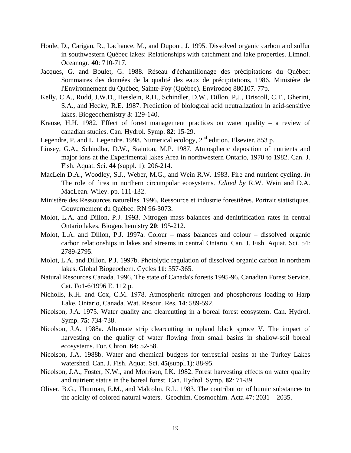- Houle, D., Carigan, R., Lachance, M., and Dupont, J. 1995. Dissolved organic carbon and sulfur in southwestern Québec lakes: Relationships with catchment and lake properties. Limnol. Oceanogr. **40**: 710-717.
- Jacques, G. and Boulet, G. 1988. Réseau d'échantillonage des précipitations du Québec: Sommaires des données de la qualité des eaux de précipitations, 1986. Ministère de l'Environnement du Québec, Sainte-Foy (Québec). Envirodoq 880107. 77p.
- Kelly, C.A., Rudd, J.W.D., Hesslein, R.H., Schindler, D.W., Dillon, P.J., Driscoll, C.T., Gherini, S.A., and Hecky, R.E. 1987. Prediction of biological acid neutralization in acid-sensitive lakes. Biogeochemistry **3**: 129-140.
- Krause, H.H. 1982. Effect of forest management practices on water quality a review of canadian studies. Can. Hydrol. Symp. **82**: 15-29.
- Legendre, P. and L. Legendre. 1998. Numerical ecology,  $2<sup>nd</sup>$  edition. Elsevier. 853 p.
- Linsey, G.A., Schindler, D.W., Stainton, M.P. 1987. Atmospheric deposition of nutrients and major ions at the Experimental lakes Area in northwestern Ontario, 1970 to 1982. Can. J. Fish. Aquat. Sci. **44** (suppl. 1): 206-214.
- MacLein D.A., Woodley, S.J., Weber, M.G., and Wein R.W. 1983. Fire and nutrient cycling. *In* The role of fires in northern circumpolar ecosystems. *Edited by* R.W. Wein and D.A. MacLean. Wiley. pp. 111-132.
- Ministère des Ressources naturelles. 1996. Ressource et industrie forestières. Portrait statistiques. Gouvernement du Québec. RN 96-3073.
- Molot, L.A. and Dillon, P.J. 1993. Nitrogen mass balances and denitrification rates in central Ontario lakes. Biogeochemistry **20**: 195-212.
- Molot, L.A. and Dillon, P.J. 1997a. Colour mass balances and colour dissolved organic carbon relationships in lakes and streams in central Ontario. Can. J. Fish. Aquat. Sci. 54: 2789-2795.
- Molot, L.A. and Dillon, P.J. 1997b. Photolytic regulation of dissolved organic carbon in northern lakes. Global Biogeochem. Cycles **11**: 357-365.
- Natural Resources Canada. 1996. The state of Canada's forests 1995-96. Canadian Forest Service. Cat. Fo1-6/1996 E. 112 p.
- Nicholls, K.H. and Cox, C.M. 1978. Atmospheric nitrogen and phosphorous loading to Harp Lake, Ontario, Canada. Wat. Resour. Res. **14**: 589-592.
- Nicolson, J.A. 1975. Water quality and clearcutting in a boreal forest ecosystem. Can. Hydrol. Symp. **75**: 734-738.
- Nicolson, J.A. 1988a. Alternate strip clearcutting in upland black spruce V. The impact of harvesting on the quality of water flowing from small basins in shallow-soil boreal ecosystems. For. Chron. **64**: 52-58.
- Nicolson, J.A. 1988b. Water and chemical budgets for terrestrial basins at the Turkey Lakes watershed. Can. J. Fish. Aquat. Sci. **45**(suppl.1): 88-95.
- Nicolson, J.A., Foster, N.W., and Morrison, I.K. 1982. Forest harvesting effects on water quality and nutrient status in the boreal forest. Can. Hydrol. Symp. **82**: 71-89.
- Oliver, B.G., Thurman, E.M., and Malcolm, R.L. 1983. The contribution of humic substances to the acidity of colored natural waters. Geochim. Cosmochim. Acta 47: 2031 – 2035.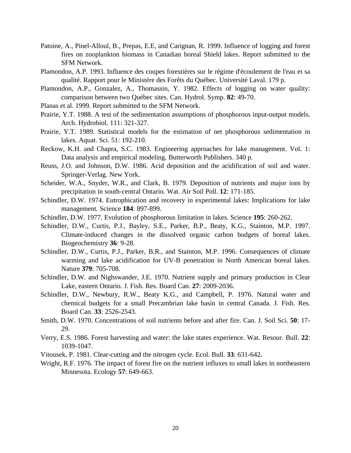- Patoine, A., Pinel-Alloul, B., Prepas, E.E, and Carignan, R. 1999. Influence of logging and forest fires on zooplankton biomass in Canadian boreal Shield lakes. Report submitted to the SFM Network.
- Plamondon, A.P. 1993. Influence des coupes forestières sur le régime d'écoulement de l'eau et sa qualité. Rapport pour le Ministère des Forêts du Québec. Université Laval. 179 p.
- Plamondon, A.P., Gonzalez, A., Thomassin, Y. 1982. Effects of logging on water quality: comparison between two Québec sites. Can. Hydrol. Symp. **82**: 49-70.
- Planas et al. 1999. Report submitted to the SFM Network.
- Prairie, Y.T. 1988. A test of the sedimentation assumptions of phosphorous input-output models. Arch. Hydrobiol. 111: 321-327.
- Prairie, Y.T. 1989. Statistical models for the estimation of net phosphorous sedimentation in lakes. Aquat. Sci. 51: 192-210.
- Reckow, K.H. and Chapra, S.C. 1983. Engineering approaches for lake management. Vol. 1: Data analysis and empirical modeling. Butterworth Publishers. 340 p.
- Reuss, J.O. and Johnson, D.W. 1986. Acid deposition and the acidification of soil and water. Springer-Verlag. New York.
- Scheider, W.A., Snyder, W.R., and Clark, B. 1979. Deposition of nutrients and major ions by precipitation in south-central Ontario. Wat. Air Soil Poll. **12**: 171-185.
- Schindler, D.W. 1974. Eutrophication and recovery in experimental lakes: Implications for lake management. Science **184**: 897-899.
- Schindler, D.W. 1977. Evolution of phosphorous limitation in lakes. Science **195**: 260-262.
- Schindler, D.W., Curtis, P.J., Bayley, S.E., Parker, B.P., Beaty, K.G., Stainton, M.P. 1997. Climate-induced changes in the dissolved organic carbon budgets of boreal lakes. Biogeochemistry **36**: 9-28.
- Schindler, D.W., Curtis, P.J., Parker, B.R., and Stainton, M.P. 1996. Consequences of climate warming and lake acidification for UV-B penetration in North American boreal lakes. Nature **379**: 705-708.
- Schindler, D.W. and Nighswander, J.E. 1970. Nutrient supply and primary production in Clear Lake, eastern Ontario. J. Fish. Res. Board Can. **27**: 2009-2036.
- Schindler, D.W., Newbury, R.W., Beaty K.G., and Campbell, P. 1976. Natural water and chemical budgets for a small Precambrian lake basin in central Canada. J. Fish. Res. Board Can. **33**: 2526-2543.
- Smith, D.W. 1970. Concentrations of soil nutrients before and after fire. Can. J. Soil Sci. **50**: 17- 29.
- Verry, E.S. 1986. Forest harvesting and water: the lake states experience. Wat. Resour. Bull. **22**: 1039-1047.
- Vitousek, P. 1981. Clear-cutting and the nitrogen cycle. Ecol. Bull. **33**: 631-642.
- Wright, R.F. 1976. The impact of forest fire on the nutrient influxes to small lakes in northeastern Minnesota. Ecology **57**: 649-663.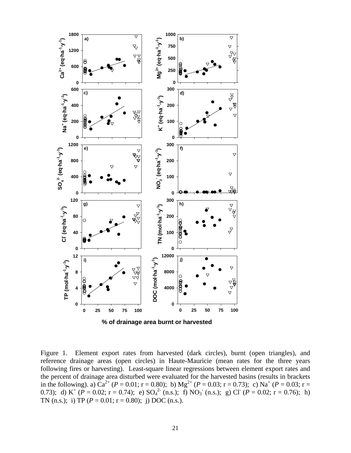

Figure 1. Element export rates from harvested (dark circles), burnt (open triangles), and reference drainage areas (open circles) in Haute-Mauricie (mean rates for the three years following fires or harvesting). Least-square linear regressions between element export rates and the percent of drainage area disturbed were evaluated for the harvested basins (results in brackets in the following). a)  $Ca^{2+} (P = 0.01; r = 0.80)$ ; b)  $Mg^{2+} (P = 0.03; r = 0.73)$ ; c)  $Na^{+} (P = 0.03; r = 0.73)$ 0.73); d) K<sup>+</sup> ( $\overline{P} = 0.02$ ; r = 0.74); e) SO<sub>4</sub><sup>2</sup> (n.s.); f) NO<sub>3</sub> (n.s.); g) Cl ( $\overline{P} = 0.02$ ; r = 0.76); h)